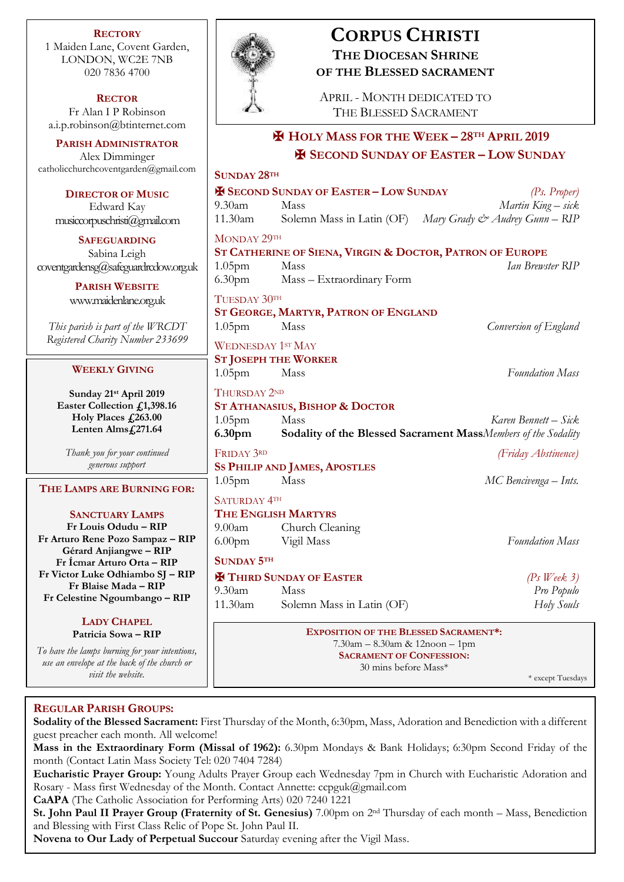**RECTORY** 1 Maiden Lane, Covent Garden, LONDON, WC2E 7NB 020 7836 4700

**RECTOR** Fr Alan I P Robinson [a.i.p.robinson@btinternet.com](mailto:a.i.p.robinson@btinternet.com)

**PARISH ADMINISTRATOR** Alex Dimminger [catholicchurchcoventgarden@gmail.com](mailto:catholicchurchcoventgarden@gmail.com)

**DIRECTOR OF MUSIC** Edward Kay musiccorpuschristi@gmail.com

**SAFEGUARDING** Sabina Leigh [coventgardensg@safeguardrcdow.org.uk](mailto:coventgardensg@safeguardrcdow.org.uk)

> **PARISH WEBSITE** [www.maidenlane.org.uk](http://www.maidenlane.org.uk/)

*This parish is part of the WRCDT Registered Charity Number 233699*

#### **WEEKLY GIVING**

**Sunday 21st April 2019 Easter Collection £1,398.16 Holy Places £263.00 Lenten Alms£271.64**

*Thank you for your continued generous support*

### **THE LAMPS ARE BURNING FOR:**

**SANCTUARY LAMPS**

**Fr Louis Odudu – RIP Fr Arturo Rene Pozo Sampaz – RIP Gérard Anjiangwe – RIP Fr Ícmar Arturo Orta – RIP Fr Victor Luke Odhiambo SJ – RIP Fr Blaise Mada – RIP Fr Celestine Ngoumbango – RIP**

# **LADY CHAPEL**

**Patricia Sowa – RIP**

*To have the lamps burning for your intentions, use an envelope at the back of the church or visit the website.*



## **CORPUS CHRISTI THE DIOCESAN SHRINE OF THE BLESSED SACRAMENT**

APRIL - MONTH DEDICATED TO THE BLESSED SACRAMENT

# ✠ **HOLY MASS FOR THE WEEK – 28TH APRIL 2019** ✠ **SECOND SUNDAY OF EASTER – LOW SUNDAY**

| <b>SUNDAY 28TH</b>                                  |                                                                                                                                           |                                                                                       |
|-----------------------------------------------------|-------------------------------------------------------------------------------------------------------------------------------------------|---------------------------------------------------------------------------------------|
|                                                     | <b>EX SECOND SUNDAY OF EASTER - LOW SUNDAY</b>                                                                                            | (P <sub>s</sub> , Proper)                                                             |
| 9.30am                                              | Mass                                                                                                                                      | Martin King – sick                                                                    |
| 11.30am                                             |                                                                                                                                           | Solemn Mass in Latin (OF) Mary Grady & Audrey Gunn - RIP                              |
| MONDAY 29TH                                         | ST CATHERINE OF SIENA, VIRGIN & DOCTOR, PATRON OF EUROPE                                                                                  |                                                                                       |
| $1.05$ pm<br>6.30 <sub>pm</sub>                     | Mass<br>Mass - Extraordinary Form                                                                                                         | Ian Brewster RIP                                                                      |
| TUESDAY 30TH<br>1.05 <sub>pm</sub>                  | ST GEORGE, MARTYR, PATRON OF ENGLAND<br>Mass                                                                                              | Conversion of England                                                                 |
| <b>WEDNESDAY 1ST MAY</b><br>1.05pm                  | <b>ST JOSEPH THE WORKER</b><br>Mass                                                                                                       | <b>Foundation Mass</b>                                                                |
| THURSDAY 2ND<br>1.05 <sub>pm</sub><br>6.30pm        | ST ATHANASIUS, BISHOP & DOCTOR<br>Mass                                                                                                    | Karen Bennett – Sick<br>Sodality of the Blessed Sacrament MassMembers of the Sodality |
| FRIDAY 3RD                                          | <b>SS PHILIP AND JAMES, APOSTLES</b>                                                                                                      | (Friday Abstinence)                                                                   |
| 1.05 <sub>pm</sub>                                  | Mass                                                                                                                                      | MC Bencivenga – Ints.                                                                 |
| <b>SATURDAY 4TH</b><br>9.00am<br>6.00 <sub>pm</sub> | THE ENGLISH MARTYRS<br>Church Cleaning<br>Vigil Mass                                                                                      | <b>Foundation Mass</b>                                                                |
| <b>SUNDAY 5TH</b>                                   |                                                                                                                                           |                                                                                       |
| 9.30am<br>11.30am                                   | <b>H</b> THIRD SUNDAY OF EASTER<br>Mass<br>Solemn Mass in Latin (OF)                                                                      | $(Ps$ Week 3)<br>Pro Populo<br>Holy Souls                                             |
|                                                     | <b>EXPOSITION OF THE BLESSED SACRAMENT*:</b><br>7.30am - 8.30am & 12noon - 1pm<br><b>SACRAMENT OF CONFESSION:</b><br>30 mins before Mass* | * except Tuesdays                                                                     |

## **REGULAR PARISH GROUPS:**

**Sodality of the Blessed Sacrament:** First Thursday of the Month, 6:30pm, Mass, Adoration and Benediction with a different guest preacher each month. All welcome!

**Mass in the Extraordinary Form (Missal of 1962):** 6.30pm Mondays & Bank Holidays; 6:30pm Second Friday of the month (Contact Latin Mass Society Tel: 020 7404 7284)

**Eucharistic Prayer Group:** Young Adults Prayer Group each Wednesday 7pm in Church with Eucharistic Adoration and Rosary - Mass first Wednesday of the Month. Contact Annette: ccpguk@gmail.com

**CaAPA** (The Catholic Association for Performing Arts) 020 7240 1221

**St. John Paul II Prayer Group (Fraternity of St. Genesius)** 7.00pm on 2nd Thursday of each month – Mass, Benediction and Blessing with First Class Relic of Pope St. John Paul II.

**Novena to Our Lady of Perpetual Succour** Saturday evening after the Vigil Mass.